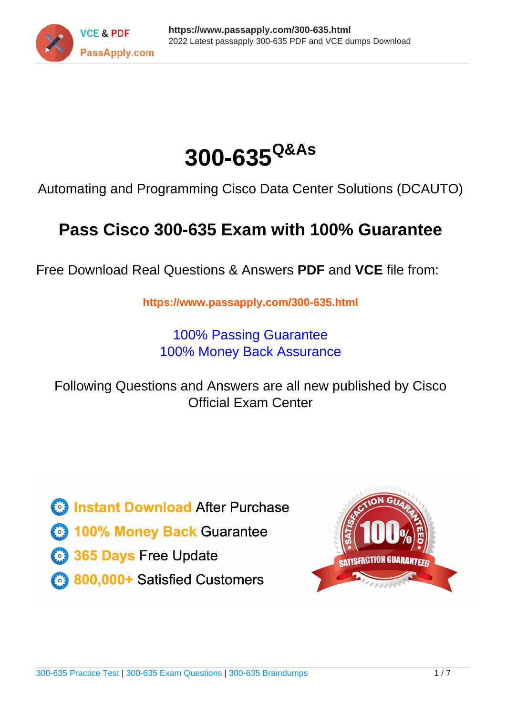



Automating and Programming Cisco Data Center Solutions (DCAUTO)

# **Pass Cisco 300-635 Exam with 100% Guarantee**

Free Download Real Questions & Answers **PDF** and **VCE** file from:

**https://www.passapply.com/300-635.html**

100% Passing Guarantee 100% Money Back Assurance

Following Questions and Answers are all new published by Cisco Official Exam Center

**C** Instant Download After Purchase

- **83 100% Money Back Guarantee**
- 365 Days Free Update
- 800,000+ Satisfied Customers

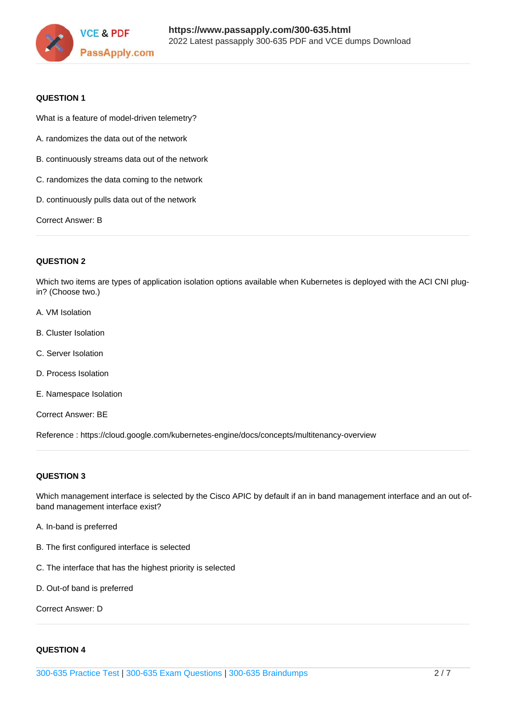

#### **QUESTION 1**

What is a feature of model-driven telemetry?

- A. randomizes the data out of the network
- B. continuously streams data out of the network
- C. randomizes the data coming to the network
- D. continuously pulls data out of the network

Correct Answer: B

#### **QUESTION 2**

Which two items are types of application isolation options available when Kubernetes is deployed with the ACI CNI plugin? (Choose two.)

- A. VM Isolation
- B. Cluster Isolation
- C. Server Isolation
- D. Process Isolation
- E. Namespace Isolation

Correct Answer: BE

Reference : https://cloud.google.com/kubernetes-engine/docs/concepts/multitenancy-overview

### **QUESTION 3**

Which management interface is selected by the Cisco APIC by default if an in band management interface and an out ofband management interface exist?

- A. In-band is preferred
- B. The first configured interface is selected
- C. The interface that has the highest priority is selected
- D. Out-of band is preferred

Correct Answer: D

#### **QUESTION 4**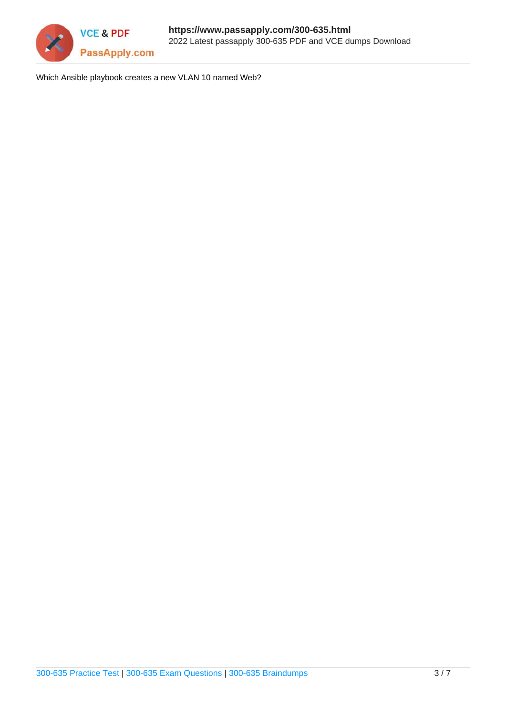

Which Ansible playbook creates a new VLAN 10 named Web?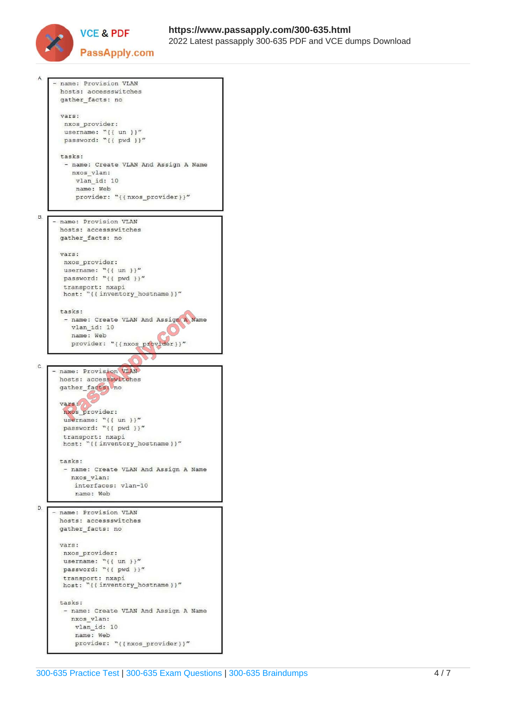

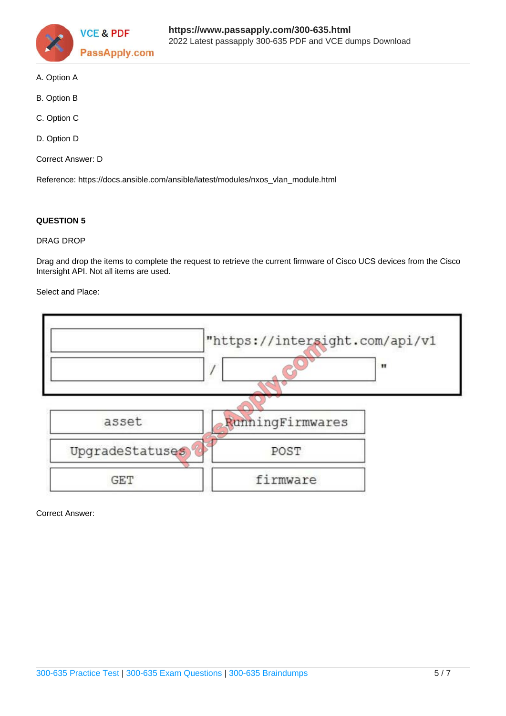

- A. Option A
- B. Option B
- C. Option C
- D. Option D
- Correct Answer: D

Reference: https://docs.ansible.com/ansible/latest/modules/nxos\_vlan\_module.html

### **QUESTION 5**

#### DRAG DROP

Drag and drop the items to complete the request to retrieve the current firmware of Cisco UCS devices from the Cisco Intersight API. Not all items are used.

Select and Place:

|                 | "https://intersight.com/api/v1 |              |
|-----------------|--------------------------------|--------------|
|                 |                                | $\mathbf{H}$ |
|                 |                                |              |
| asset           | RunningFirmwares               |              |
| UpgradeStatuses | POST                           |              |
| <b>GET</b>      | firmware                       |              |

Correct Answer: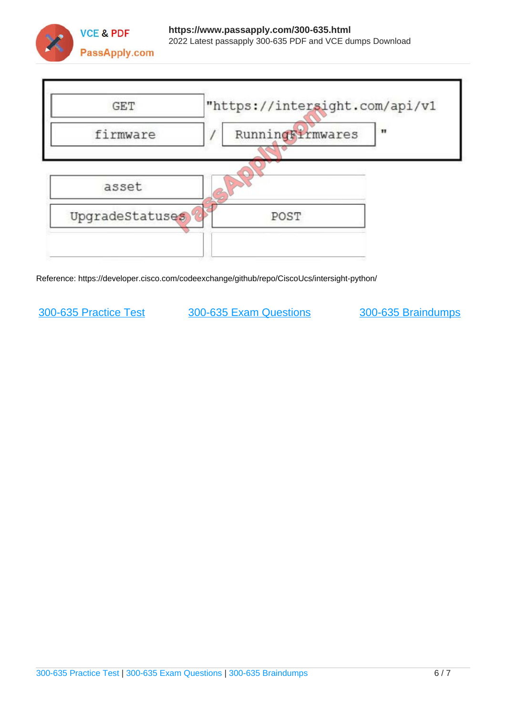



Reference: https://developer.cisco.com/codeexchange/github/repo/CiscoUcs/intersight-python/

[300-635 Practice Test](https://www.passapply.com/300-635.html) [300-635 Exam Questions](https://www.passapply.com/300-635.html) [300-635 Braindumps](https://www.passapply.com/300-635.html)